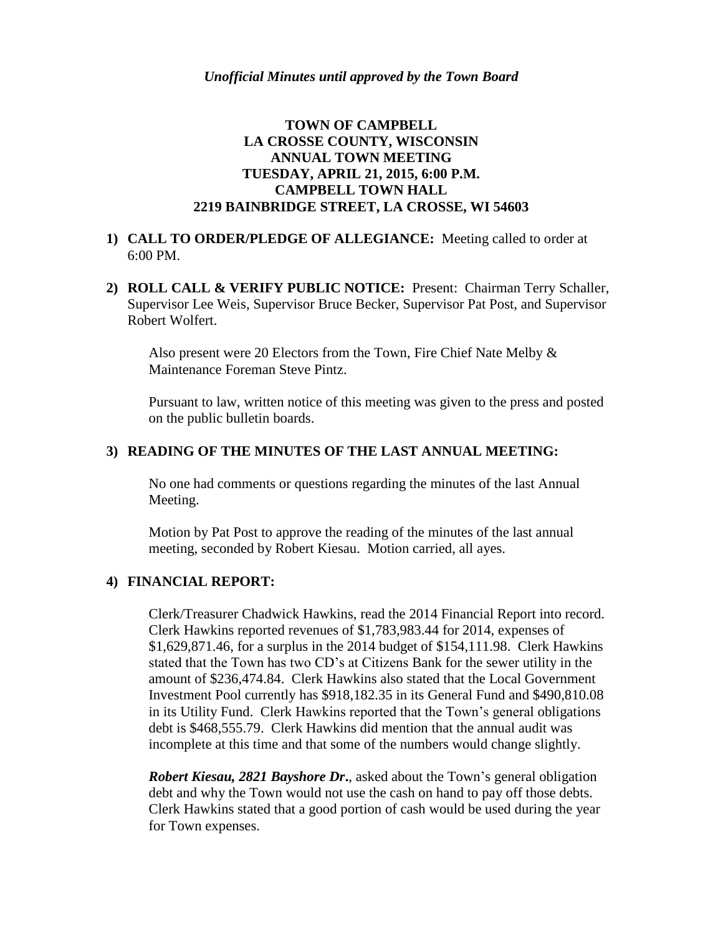# **TOWN OF CAMPBELL LA CROSSE COUNTY, WISCONSIN ANNUAL TOWN MEETING TUESDAY, APRIL 21, 2015, 6:00 P.M. CAMPBELL TOWN HALL 2219 BAINBRIDGE STREET, LA CROSSE, WI 54603**

- **1) CALL TO ORDER/PLEDGE OF ALLEGIANCE:** Meeting called to order at 6:00 PM.
- **2) ROLL CALL & VERIFY PUBLIC NOTICE:** Present: Chairman Terry Schaller, Supervisor Lee Weis, Supervisor Bruce Becker, Supervisor Pat Post, and Supervisor Robert Wolfert.

Also present were 20 Electors from the Town, Fire Chief Nate Melby & Maintenance Foreman Steve Pintz.

Pursuant to law, written notice of this meeting was given to the press and posted on the public bulletin boards.

## **3) READING OF THE MINUTES OF THE LAST ANNUAL MEETING:**

No one had comments or questions regarding the minutes of the last Annual Meeting.

Motion by Pat Post to approve the reading of the minutes of the last annual meeting, seconded by Robert Kiesau. Motion carried, all ayes.

#### **4) FINANCIAL REPORT:**

Clerk/Treasurer Chadwick Hawkins, read the 2014 Financial Report into record. Clerk Hawkins reported revenues of \$1,783,983.44 for 2014, expenses of \$1,629,871.46, for a surplus in the 2014 budget of \$154,111.98. Clerk Hawkins stated that the Town has two CD's at Citizens Bank for the sewer utility in the amount of \$236,474.84. Clerk Hawkins also stated that the Local Government Investment Pool currently has \$918,182.35 in its General Fund and \$490,810.08 in its Utility Fund. Clerk Hawkins reported that the Town's general obligations debt is \$468,555.79. Clerk Hawkins did mention that the annual audit was incomplete at this time and that some of the numbers would change slightly.

*Robert Kiesau, 2821 Bayshore Dr***.**, asked about the Town's general obligation debt and why the Town would not use the cash on hand to pay off those debts. Clerk Hawkins stated that a good portion of cash would be used during the year for Town expenses.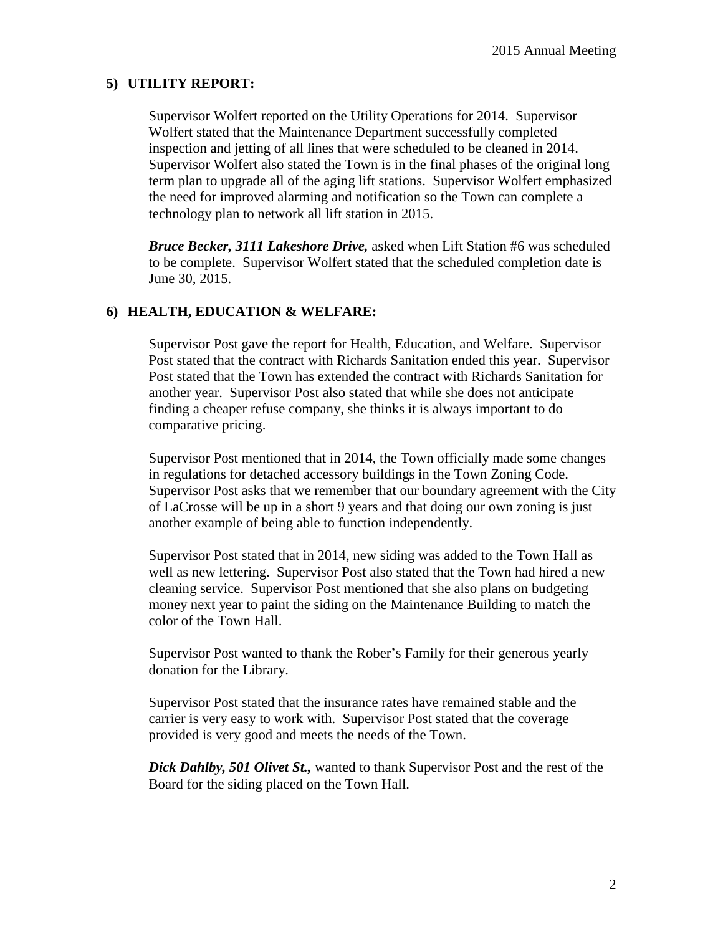## **5) UTILITY REPORT:**

Supervisor Wolfert reported on the Utility Operations for 2014. Supervisor Wolfert stated that the Maintenance Department successfully completed inspection and jetting of all lines that were scheduled to be cleaned in 2014. Supervisor Wolfert also stated the Town is in the final phases of the original long term plan to upgrade all of the aging lift stations. Supervisor Wolfert emphasized the need for improved alarming and notification so the Town can complete a technology plan to network all lift station in 2015.

*Bruce Becker, 3111 Lakeshore Drive,* asked when Lift Station #6 was scheduled to be complete. Supervisor Wolfert stated that the scheduled completion date is June 30, 2015.

# **6) HEALTH, EDUCATION & WELFARE:**

Supervisor Post gave the report for Health, Education, and Welfare. Supervisor Post stated that the contract with Richards Sanitation ended this year. Supervisor Post stated that the Town has extended the contract with Richards Sanitation for another year. Supervisor Post also stated that while she does not anticipate finding a cheaper refuse company, she thinks it is always important to do comparative pricing.

Supervisor Post mentioned that in 2014, the Town officially made some changes in regulations for detached accessory buildings in the Town Zoning Code. Supervisor Post asks that we remember that our boundary agreement with the City of LaCrosse will be up in a short 9 years and that doing our own zoning is just another example of being able to function independently.

Supervisor Post stated that in 2014, new siding was added to the Town Hall as well as new lettering. Supervisor Post also stated that the Town had hired a new cleaning service. Supervisor Post mentioned that she also plans on budgeting money next year to paint the siding on the Maintenance Building to match the color of the Town Hall.

Supervisor Post wanted to thank the Rober's Family for their generous yearly donation for the Library.

Supervisor Post stated that the insurance rates have remained stable and the carrier is very easy to work with. Supervisor Post stated that the coverage provided is very good and meets the needs of the Town.

*Dick Dahlby, 501 Olivet St.,* wanted to thank Supervisor Post and the rest of the Board for the siding placed on the Town Hall.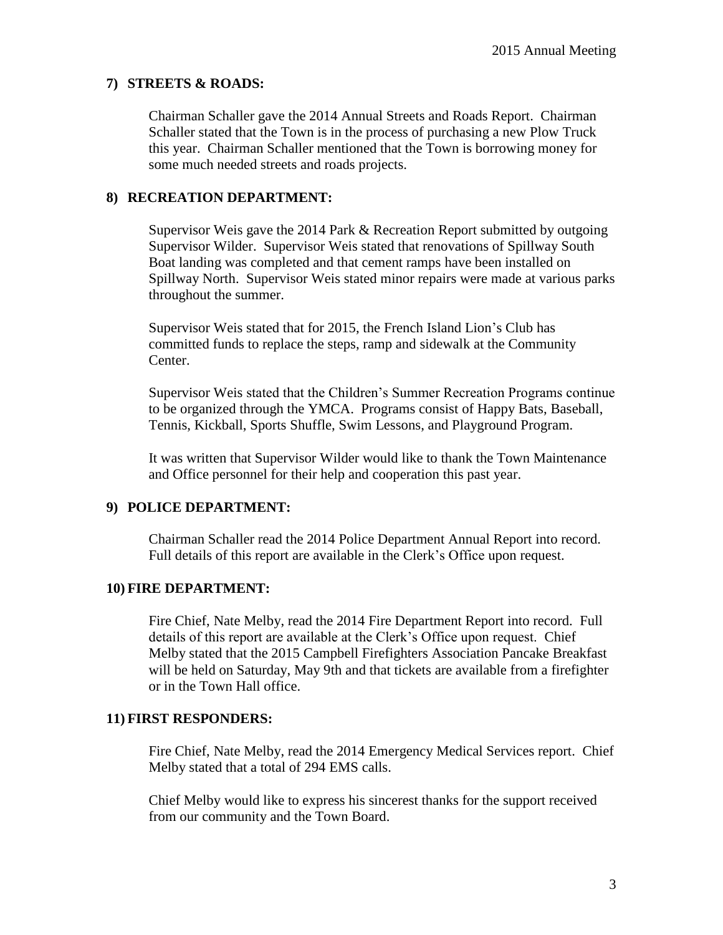#### **7) STREETS & ROADS:**

Chairman Schaller gave the 2014 Annual Streets and Roads Report. Chairman Schaller stated that the Town is in the process of purchasing a new Plow Truck this year. Chairman Schaller mentioned that the Town is borrowing money for some much needed streets and roads projects.

## **8) RECREATION DEPARTMENT:**

Supervisor Weis gave the 2014 Park & Recreation Report submitted by outgoing Supervisor Wilder. Supervisor Weis stated that renovations of Spillway South Boat landing was completed and that cement ramps have been installed on Spillway North. Supervisor Weis stated minor repairs were made at various parks throughout the summer.

Supervisor Weis stated that for 2015, the French Island Lion's Club has committed funds to replace the steps, ramp and sidewalk at the Community Center.

Supervisor Weis stated that the Children's Summer Recreation Programs continue to be organized through the YMCA. Programs consist of Happy Bats, Baseball, Tennis, Kickball, Sports Shuffle, Swim Lessons, and Playground Program.

It was written that Supervisor Wilder would like to thank the Town Maintenance and Office personnel for their help and cooperation this past year.

#### **9) POLICE DEPARTMENT:**

Chairman Schaller read the 2014 Police Department Annual Report into record. Full details of this report are available in the Clerk's Office upon request.

#### **10) FIRE DEPARTMENT:**

Fire Chief, Nate Melby, read the 2014 Fire Department Report into record. Full details of this report are available at the Clerk's Office upon request. Chief Melby stated that the 2015 Campbell Firefighters Association Pancake Breakfast will be held on Saturday, May 9th and that tickets are available from a firefighter or in the Town Hall office.

#### **11) FIRST RESPONDERS:**

Fire Chief, Nate Melby, read the 2014 Emergency Medical Services report. Chief Melby stated that a total of 294 EMS calls.

Chief Melby would like to express his sincerest thanks for the support received from our community and the Town Board.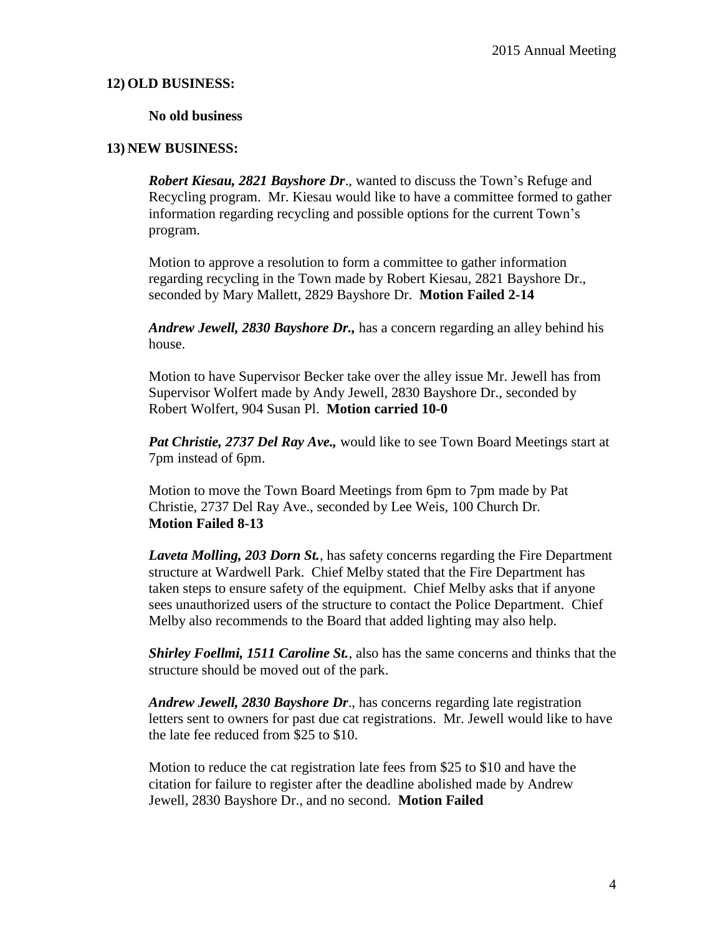#### **12) OLD BUSINESS:**

#### **No old business**

# **13) NEW BUSINESS:**

*Robert Kiesau, 2821 Bayshore Dr*., wanted to discuss the Town's Refuge and Recycling program. Mr. Kiesau would like to have a committee formed to gather information regarding recycling and possible options for the current Town's program.

Motion to approve a resolution to form a committee to gather information regarding recycling in the Town made by Robert Kiesau, 2821 Bayshore Dr., seconded by Mary Mallett, 2829 Bayshore Dr. **Motion Failed 2-14**

*Andrew Jewell, 2830 Bayshore Dr.,* has a concern regarding an alley behind his house.

Motion to have Supervisor Becker take over the alley issue Mr. Jewell has from Supervisor Wolfert made by Andy Jewell, 2830 Bayshore Dr., seconded by Robert Wolfert, 904 Susan Pl. **Motion carried 10-0**

*Pat Christie, 2737 Del Ray Ave.,* would like to see Town Board Meetings start at 7pm instead of 6pm.

Motion to move the Town Board Meetings from 6pm to 7pm made by Pat Christie, 2737 Del Ray Ave., seconded by Lee Weis, 100 Church Dr. **Motion Failed 8-13**

*Laveta Molling, 203 Dorn St.*, has safety concerns regarding the Fire Department structure at Wardwell Park. Chief Melby stated that the Fire Department has taken steps to ensure safety of the equipment. Chief Melby asks that if anyone sees unauthorized users of the structure to contact the Police Department. Chief Melby also recommends to the Board that added lighting may also help.

*Shirley Foellmi, 1511 Caroline St.*, also has the same concerns and thinks that the structure should be moved out of the park.

*Andrew Jewell, 2830 Bayshore Dr*., has concerns regarding late registration letters sent to owners for past due cat registrations. Mr. Jewell would like to have the late fee reduced from \$25 to \$10.

Motion to reduce the cat registration late fees from \$25 to \$10 and have the citation for failure to register after the deadline abolished made by Andrew Jewell, 2830 Bayshore Dr., and no second. **Motion Failed**